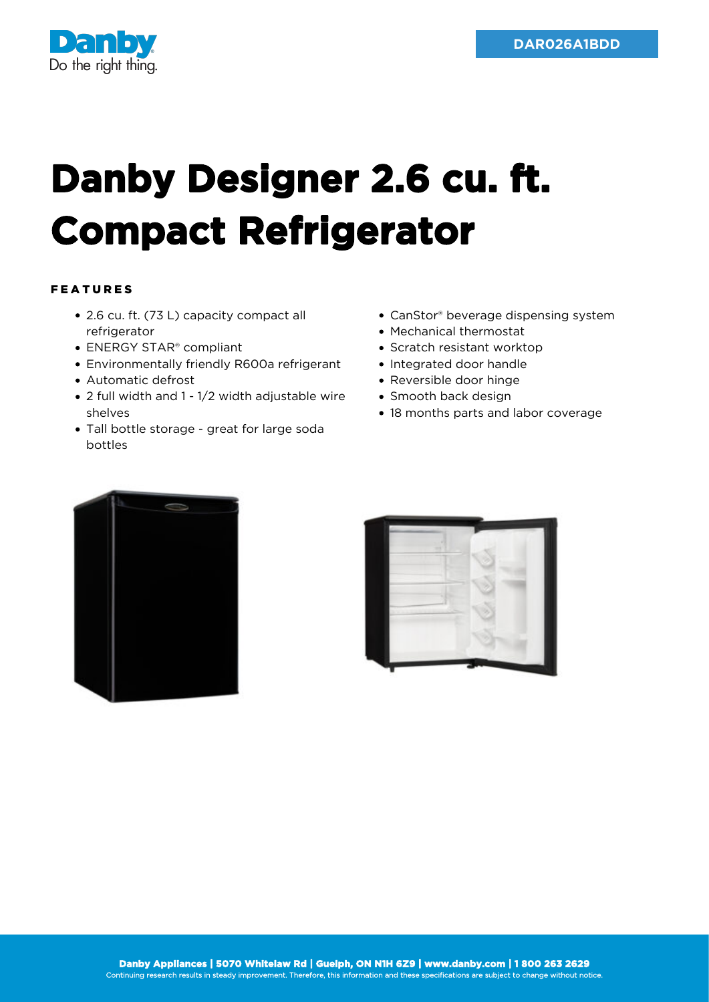

## **Danby Designer 2.6 cu. ft. Compact Refrigerator**

## FEATURES

- 2.6 cu. ft. (73 L) capacity compact all refrigerator
- ENERGY STAR<sup>®</sup> compliant
- Environmentally friendly R600a refrigerant
- Automatic defrost
- 2 full width and 1 1/2 width adjustable wire shelves
- Tall bottle storage great for large soda bottles
- CanStor® beverage dispensing system
- Mechanical thermostat
- Scratch resistant worktop
- Integrated door handle
- Reversible door hinge
- Smooth back design
- 18 months parts and labor coverage